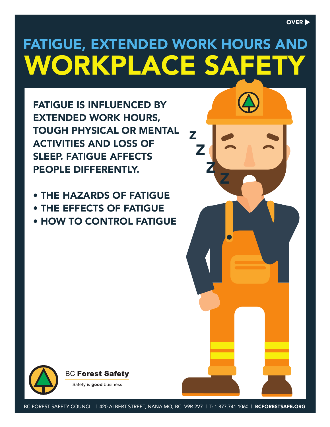# FATIGUE, EXTENDED WORK HOURS AND WORKPLACE SAFET

Z

Z

Z

Z

FATIGUE IS INFLUENCED BY EXTENDED WORK HOURS, TOUGH PHYSICAL OR MENTAL ACTIVITIES AND LOSS OF SLEEP. FATIGUE AFFECTS PEOPLE DIFFERENTLY.

- THE HAZARDS OF FATIGUE
- THE EFFECTS OF FATIGUE
- HOW TO CONTROL FATIGUE